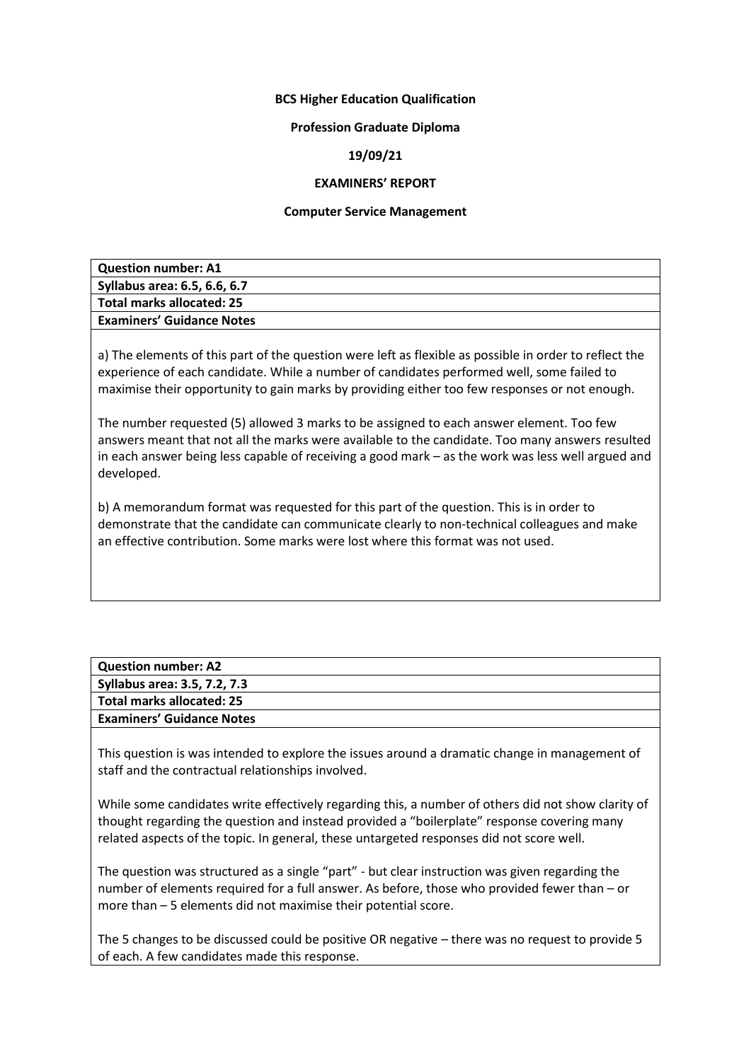### **BCS Higher Education Qualification**

### **Profession Graduate Diploma**

# **19/09/21**

## **EXAMINERS' REPORT**

### **Computer Service Management**

| <b>Question number: A1</b>       |  |
|----------------------------------|--|
| Syllabus area: 6.5, 6.6, 6.7     |  |
| Total marks allocated: 25        |  |
| <b>Examiners' Guidance Notes</b> |  |
|                                  |  |

a) The elements of this part of the question were left as flexible as possible in order to reflect the experience of each candidate. While a number of candidates performed well, some failed to maximise their opportunity to gain marks by providing either too few responses or not enough.

The number requested (5) allowed 3 marks to be assigned to each answer element. Too few answers meant that not all the marks were available to the candidate. Too many answers resulted in each answer being less capable of receiving a good mark – as the work was less well argued and developed.

b) A memorandum format was requested for this part of the question. This is in order to demonstrate that the candidate can communicate clearly to non-technical colleagues and make an effective contribution. Some marks were lost where this format was not used.

| Question number: A2              |  |
|----------------------------------|--|
| Syllabus area: 3.5, 7.2, 7.3     |  |
| Total marks allocated: 25        |  |
| <b>Examiners' Guidance Notes</b> |  |
|                                  |  |

This question is was intended to explore the issues around a dramatic change in management of staff and the contractual relationships involved.

While some candidates write effectively regarding this, a number of others did not show clarity of thought regarding the question and instead provided a "boilerplate" response covering many related aspects of the topic. In general, these untargeted responses did not score well.

The question was structured as a single "part" - but clear instruction was given regarding the number of elements required for a full answer. As before, those who provided fewer than – or more than – 5 elements did not maximise their potential score.

The 5 changes to be discussed could be positive OR negative – there was no request to provide 5 of each. A few candidates made this response.